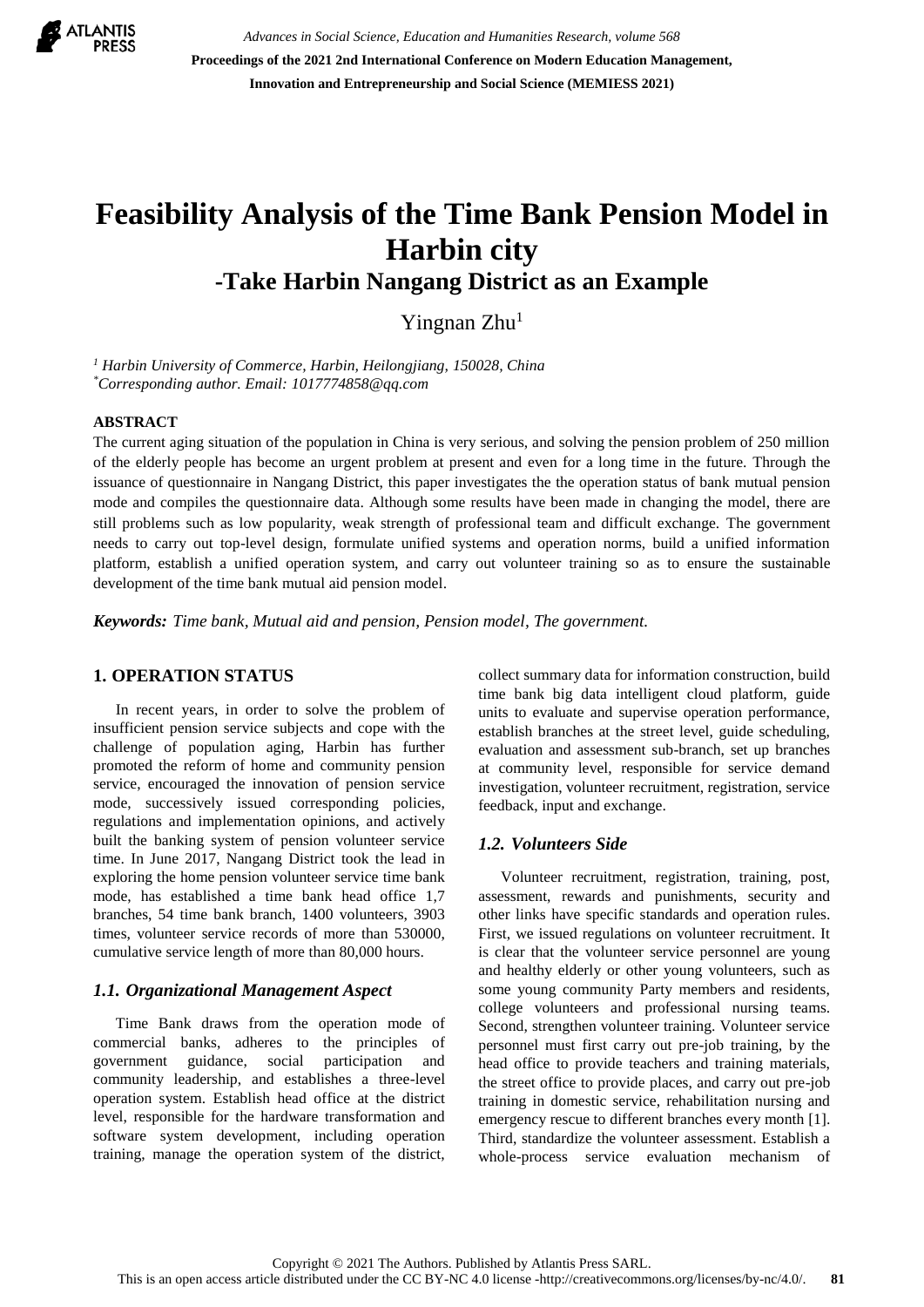

*Advances in Social Science, Education and Humanities Research, volume 568* **Proceedings of the 2021 2nd International Conference on Modern Education Management, Innovation and Entrepreneurship and Social Science (MEMIESS 2021)**

# **Feasibility Analysis of the Time Bank Pension Model in Harbin city -Take Harbin Nangang District as an Example**

Yingnan Zhu<sup>1</sup>

*<sup>1</sup> Harbin University of Commerce, Harbin, Heilongjiang, 150028, China \*Corresponding author. Email: 1017774858@qq.com*

#### **ABSTRACT**

The current aging situation of the population in China is very serious, and solving the pension problem of 250 million of the elderly people has become an urgent problem at present and even for a long time in the future. Through the issuance of questionnaire in Nangang District, this paper investigates the the operation status of bank mutual pension mode and compiles the questionnaire data. Although some results have been made in changing the model, there are still problems such as low popularity, weak strength of professional team and difficult exchange. The government needs to carry out top-level design, formulate unified systems and operation norms, build a unified information platform, establish a unified operation system, and carry out volunteer training so as to ensure the sustainable development of the time bank mutual aid pension model.

*Keywords: Time bank, Mutual aid and pension, Pension model, The government.*

### **1. OPERATION STATUS**

In recent years, in order to solve the problem of insufficient pension service subjects and cope with the challenge of population aging, Harbin has further promoted the reform of home and community pension service, encouraged the innovation of pension service mode, successively issued corresponding policies, regulations and implementation opinions, and actively built the banking system of pension volunteer service time. In June 2017, Nangang District took the lead in exploring the home pension volunteer service time bank mode, has established a time bank head office 1,7 branches, 54 time bank branch, 1400 volunteers, 3903 times, volunteer service records of more than 530000, cumulative service length of more than 80,000 hours.

#### *1.1. Organizational Management Aspect*

Time Bank draws from the operation mode of commercial banks, adheres to the principles of government guidance, social participation and community leadership, and establishes a three-level operation system. Establish head office at the district level, responsible for the hardware transformation and software system development, including operation training, manage the operation system of the district, collect summary data for information construction, build time bank big data intelligent cloud platform, guide units to evaluate and supervise operation performance, establish branches at the street level, guide scheduling, evaluation and assessment sub-branch, set up branches at community level, responsible for service demand investigation, volunteer recruitment, registration, service feedback, input and exchange.

## *1.2. Volunteers Side*

Volunteer recruitment, registration, training, post, assessment, rewards and punishments, security and other links have specific standards and operation rules. First, we issued regulations on volunteer recruitment. It is clear that the volunteer service personnel are young and healthy elderly or other young volunteers, such as some young community Party members and residents, college volunteers and professional nursing teams. Second, strengthen volunteer training. Volunteer service personnel must first carry out pre-job training, by the head office to provide teachers and training materials, the street office to provide places, and carry out pre-job training in domestic service, rehabilitation nursing and emergency rescue to different branches every month [1]. Third, standardize the volunteer assessment. Establish a whole-process service evaluation mechanism of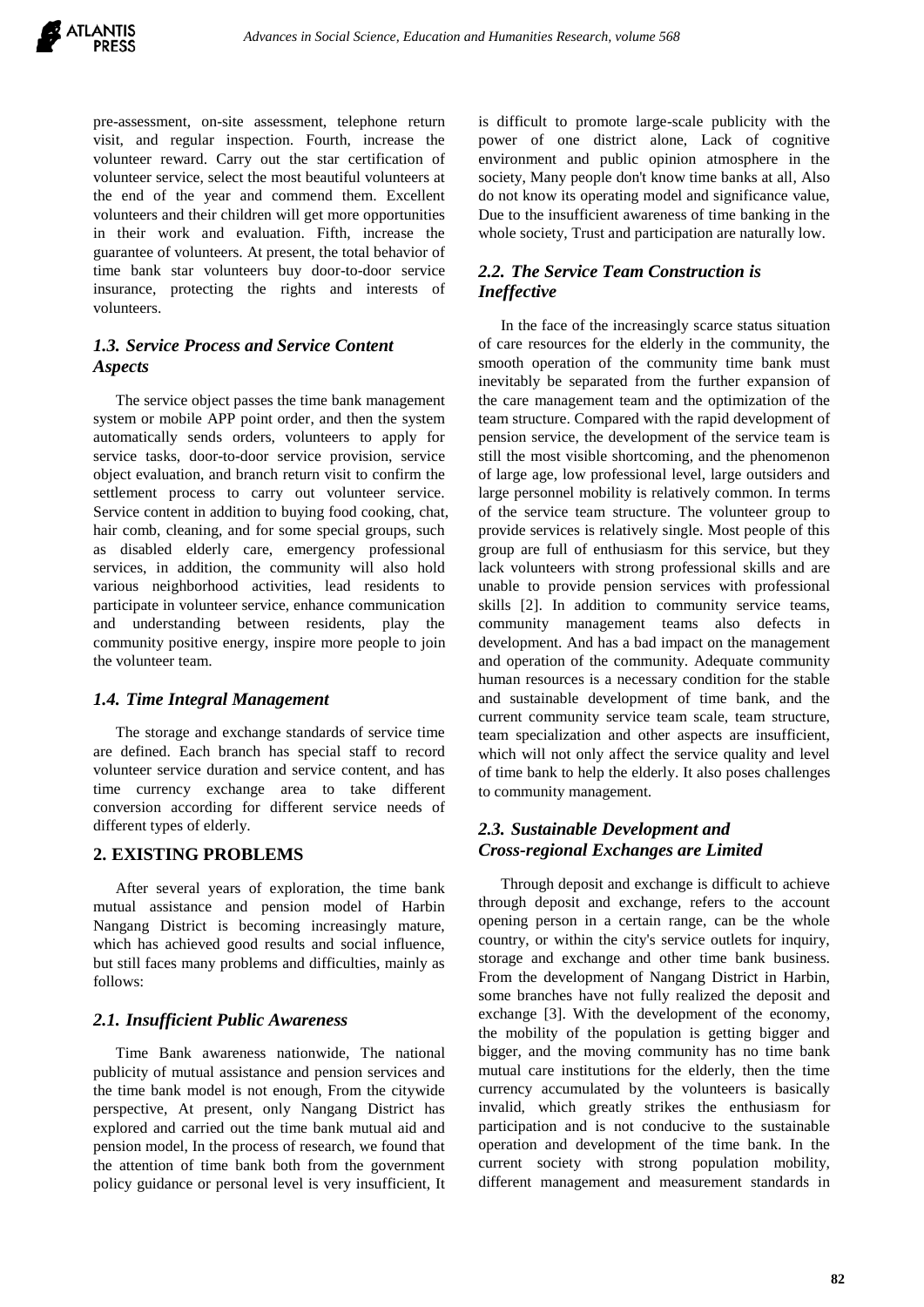pre-assessment, on-site assessment, telephone return visit, and regular inspection. Fourth, increase the volunteer reward. Carry out the star certification of volunteer service, select the most beautiful volunteers at the end of the year and commend them. Excellent volunteers and their children will get more opportunities in their work and evaluation. Fifth, increase the guarantee of volunteers. At present, the total behavior of time bank star volunteers buy door-to-door service insurance, protecting the rights and interests of volunteers.

# *1.3. Service Process and Service Content Aspects*

The service object passes the time bank management system or mobile APP point order, and then the system automatically sends orders, volunteers to apply for service tasks, door-to-door service provision, service object evaluation, and branch return visit to confirm the settlement process to carry out volunteer service. Service content in addition to buying food cooking, chat, hair comb, cleaning, and for some special groups, such as disabled elderly care, emergency professional services, in addition, the community will also hold various neighborhood activities, lead residents to participate in volunteer service, enhance communication and understanding between residents, play the community positive energy, inspire more people to join the volunteer team.

#### *1.4. Time Integral Management*

The storage and exchange standards of service time are defined. Each branch has special staff to record volunteer service duration and service content, and has time currency exchange area to take different conversion according for different service needs of different types of elderly.

#### **2. EXISTING PROBLEMS**

After several years of exploration, the time bank mutual assistance and pension model of Harbin Nangang District is becoming increasingly mature, which has achieved good results and social influence, but still faces many problems and difficulties, mainly as follows:

#### *2.1. Insufficient Public Awareness*

Time Bank awareness nationwide, The national publicity of mutual assistance and pension services and the time bank model is not enough, From the citywide perspective, At present, only Nangang District has explored and carried out the time bank mutual aid and pension model, In the process of research, we found that the attention of time bank both from the government policy guidance or personal level is very insufficient, It is difficult to promote large-scale publicity with the power of one district alone, Lack of cognitive environment and public opinion atmosphere in the society, Many people don't know time banks at all, Also do not know its operating model and significance value, Due to the insufficient awareness of time banking in the whole society, Trust and participation are naturally low.

# *2.2. The Service Team Construction is Ineffective*

In the face of the increasingly scarce status situation of care resources for the elderly in the community, the smooth operation of the community time bank must inevitably be separated from the further expansion of the care management team and the optimization of the team structure. Compared with the rapid development of pension service, the development of the service team is still the most visible shortcoming, and the phenomenon of large age, low professional level, large outsiders and large personnel mobility is relatively common. In terms of the service team structure. The volunteer group to provide services is relatively single. Most people of this group are full of enthusiasm for this service, but they lack volunteers with strong professional skills and are unable to provide pension services with professional skills [2]. In addition to community service teams, community management teams also defects in development. And has a bad impact on the management and operation of the community. Adequate community human resources is a necessary condition for the stable and sustainable development of time bank, and the current community service team scale, team structure, team specialization and other aspects are insufficient, which will not only affect the service quality and level of time bank to help the elderly. It also poses challenges to community management.

### *2.3. Sustainable Development and Cross-regional Exchanges are Limited*

Through deposit and exchange is difficult to achieve through deposit and exchange, refers to the account opening person in a certain range, can be the whole country, or within the city's service outlets for inquiry, storage and exchange and other time bank business. From the development of Nangang District in Harbin, some branches have not fully realized the deposit and exchange [3]. With the development of the economy, the mobility of the population is getting bigger and bigger, and the moving community has no time bank mutual care institutions for the elderly, then the time currency accumulated by the volunteers is basically invalid, which greatly strikes the enthusiasm for participation and is not conducive to the sustainable operation and development of the time bank. In the current society with strong population mobility, different management and measurement standards in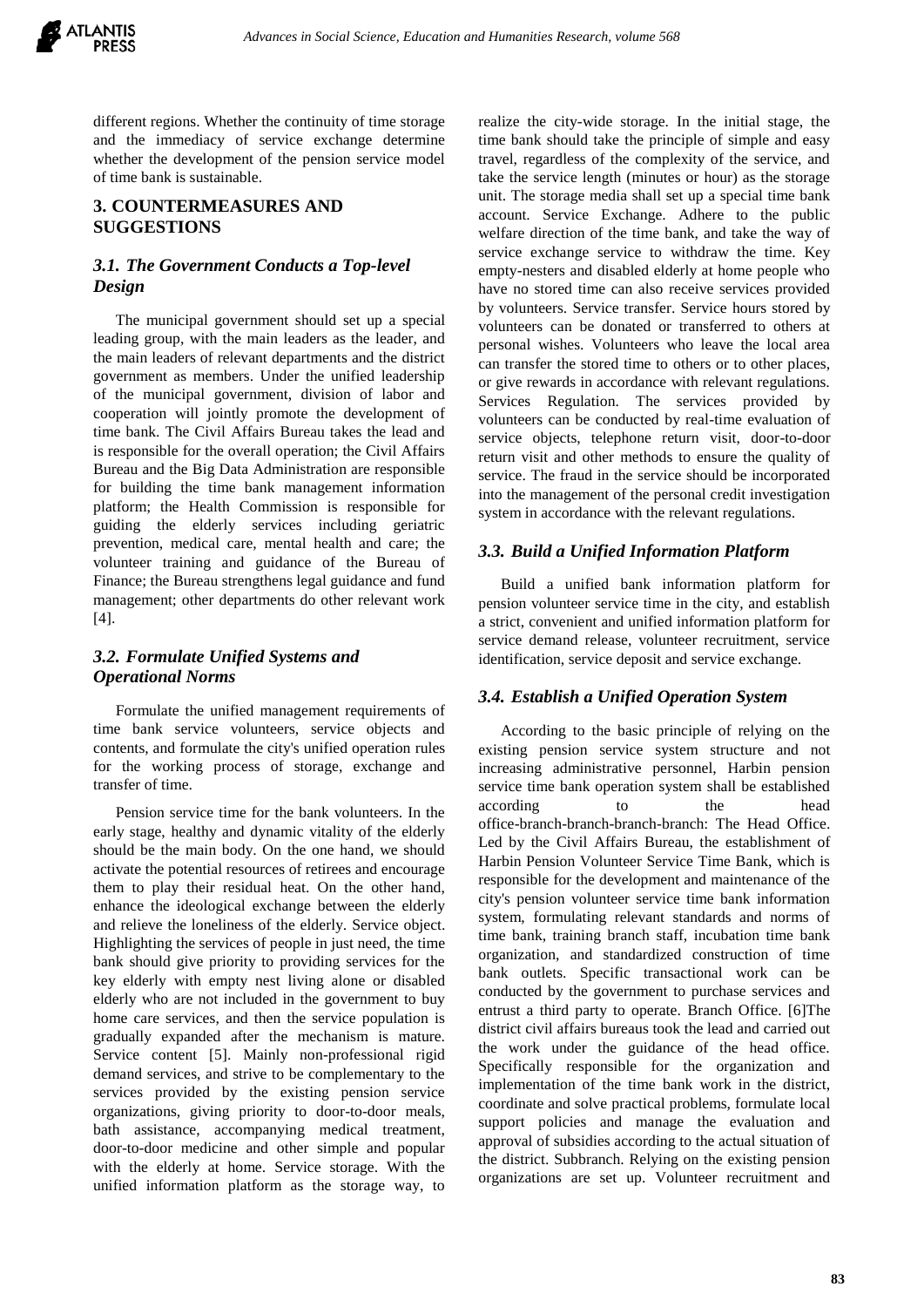

different regions. Whether the continuity of time storage and the immediacy of service exchange determine whether the development of the pension service model of time bank is sustainable.

# **3. COUNTERMEASURES AND SUGGESTIONS**

# *3.1. The Government Conducts a Top-level Design*

The municipal government should set up a special leading group, with the main leaders as the leader, and the main leaders of relevant departments and the district government as members. Under the unified leadership of the municipal government, division of labor and cooperation will jointly promote the development of time bank. The Civil Affairs Bureau takes the lead and is responsible for the overall operation; the Civil Affairs Bureau and the Big Data Administration are responsible for building the time bank management information platform; the Health Commission is responsible for guiding the elderly services including geriatric prevention, medical care, mental health and care; the volunteer training and guidance of the Bureau of Finance; the Bureau strengthens legal guidance and fund management; other departments do other relevant work [4].

# *3.2. Formulate Unified Systems and Operational Norms*

Formulate the unified management requirements of time bank service volunteers, service objects and contents, and formulate the city's unified operation rules for the working process of storage, exchange and transfer of time.

Pension service time for the bank volunteers. In the early stage, healthy and dynamic vitality of the elderly should be the main body. On the one hand, we should activate the potential resources of retirees and encourage them to play their residual heat. On the other hand, enhance the ideological exchange between the elderly and relieve the loneliness of the elderly. Service object. Highlighting the services of people in just need, the time bank should give priority to providing services for the key elderly with empty nest living alone or disabled elderly who are not included in the government to buy home care services, and then the service population is gradually expanded after the mechanism is mature. Service content [5]. Mainly non-professional rigid demand services, and strive to be complementary to the services provided by the existing pension service organizations, giving priority to door-to-door meals, bath assistance, accompanying medical treatment, door-to-door medicine and other simple and popular with the elderly at home. Service storage. With the unified information platform as the storage way, to realize the city-wide storage. In the initial stage, the time bank should take the principle of simple and easy travel, regardless of the complexity of the service, and take the service length (minutes or hour) as the storage unit. The storage media shall set up a special time bank account. Service Exchange. Adhere to the public welfare direction of the time bank, and take the way of service exchange service to withdraw the time. Key empty-nesters and disabled elderly at home people who have no stored time can also receive services provided by volunteers. Service transfer. Service hours stored by volunteers can be donated or transferred to others at personal wishes. Volunteers who leave the local area can transfer the stored time to others or to other places, or give rewards in accordance with relevant regulations. Services Regulation. The services provided by volunteers can be conducted by real-time evaluation of service objects, telephone return visit, door-to-door return visit and other methods to ensure the quality of service. The fraud in the service should be incorporated into the management of the personal credit investigation system in accordance with the relevant regulations.

# *3.3. Build a Unified Information Platform*

Build a unified bank information platform for pension volunteer service time in the city, and establish a strict, convenient and unified information platform for service demand release, volunteer recruitment, service identification, service deposit and service exchange.

#### *3.4. Establish a Unified Operation System*

According to the basic principle of relying on the existing pension service system structure and not increasing administrative personnel, Harbin pension service time bank operation system shall be established according to the head office-branch-branch-branch-branch: The Head Office. Led by the Civil Affairs Bureau, the establishment of Harbin Pension Volunteer Service Time Bank, which is responsible for the development and maintenance of the city's pension volunteer service time bank information system, formulating relevant standards and norms of time bank, training branch staff, incubation time bank organization, and standardized construction of time bank outlets. Specific transactional work can be conducted by the government to purchase services and entrust a third party to operate. Branch Office. [6]The district civil affairs bureaus took the lead and carried out the work under the guidance of the head office. Specifically responsible for the organization and implementation of the time bank work in the district, coordinate and solve practical problems, formulate local support policies and manage the evaluation and approval of subsidies according to the actual situation of the district. Subbranch. Relying on the existing pension organizations are set up. Volunteer recruitment and